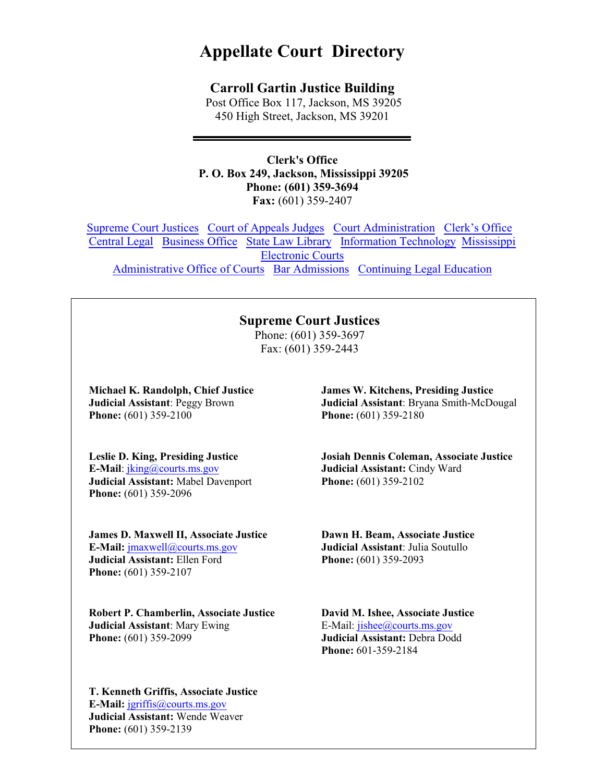# **Appellate Court Directory**

#### **Carroll Gartin Justice Building**

Post Office Box 117, Jackson, MS 39205 450 High Street, Jackson, MS 39201

**Clerk's Office P. O. Box 249, Jackson, Mississippi 39205 Phone: (601) 359-3694 Fax:** (601) 359-2407

Supreme Court Justices Court of Appeals Judges Court Administration Clerk's Office Central Legal Business Office State Law Library Information Technology Mississippi Electronic Courts Administrative Office of Courts Bar Admissions Continuing Legal Education

### **Supreme Court Justices**

Phone: (601) 359-3697 Fax: (601) 359-2443

**Michael K. Randolph, Chief Justice Judicial Assistant**: Peggy Brown **Phone:** (601) 359-2100

**Leslie D. King, Presiding Justice E-Mail**: jking@courts.ms.gov **Judicial Assistant:** Mabel Davenport **Phone:** (601) 359-2096

**James D. Maxwell II, Associate Justice E-Mail:** jmaxwell@courts.ms.gov **Judicial Assistant:** Ellen Ford **Phone:** (601) 359-2107

**Robert P. Chamberlin, Associate Justice Judicial Assistant**: Mary Ewing **Phone:** (601) 359-2099

**T. Kenneth Griffis, Associate Justice E-Mail:** jgriffis@courts.ms.gov **Judicial Assistant:** Wende Weaver **Phone:** (601) 359-2139

**James W. Kitchens, Presiding Justice Judicial Assistant**: Bryana Smith-McDougal **Phone:** (601) 359-2180

**Josiah Dennis Coleman, Associate Justice Judicial Assistant:** Cindy Ward **Phone:** (601) 359-2102

**Dawn H. Beam, Associate Justice Judicial Assistant**: Julia Soutullo **Phone:** (601) 359-2093

**David M. Ishee, Associate Justice** E-Mail: jishee@courts.ms.gov **Judicial Assistant:** Debra Dodd **Phone:** 601-359-2184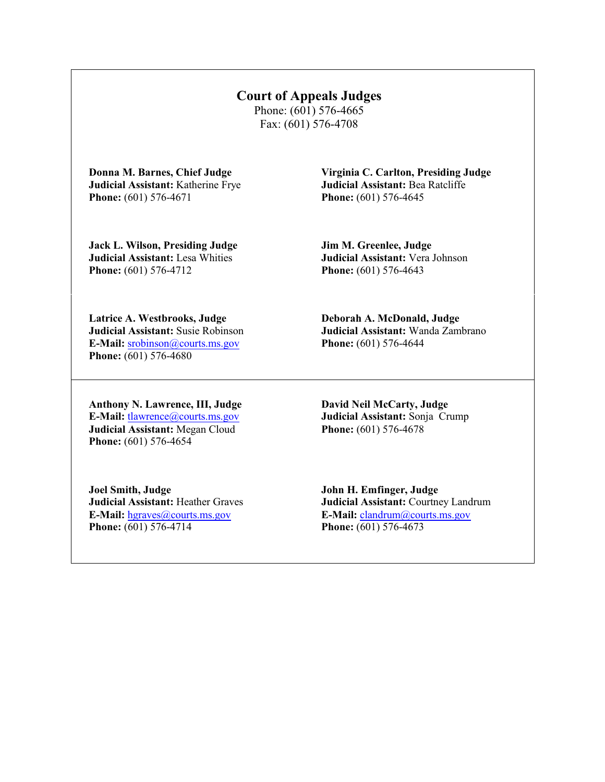## **Court of Appeals Judges**

Phone: (601) 576-4665 Fax: (601) 576-4708

**Donna M. Barnes, Chief Judge Judicial Assistant:** Katherine Frye **Phone:** (601) 576-4671

**Virginia C. Carlton, Presiding Judge Judicial Assistant:** Bea Ratcliffe **Phone:** (601) 576-4645

**Jack L. Wilson, Presiding Judge Judicial Assistant:** Lesa Whities **Phone:** (601) 576-4712

**Jim M. Greenlee, Judge Judicial Assistant:** Vera Johnson **Phone:** (601) 576-4643

**Latrice A. Westbrooks, Judge Judicial Assistant:** Susie Robinson **E-Mail:** srobinson@courts.ms.gov **Phone:** (601) 576-4680

**Deborah A. McDonald, Judge Judicial Assistant:** Wanda Zambrano **Phone:** (601) 576-4644

**Anthony N. Lawrence, III, Judge E-Mail:** tlawrence@courts.ms.gov **Judicial Assistant:** Megan Cloud **Phone:** (601) 576-4654

**David Neil McCarty, Judge Judicial Assistant:** Sonja Crump **Phone:** (601) 576-4678

**Joel Smith, Judge Judicial Assistant:** Heather Graves **E-Mail:** hgraves@courts.ms.gov **Phone:** (601) 576-4714

**John H. Emfinger, Judge Judicial Assistant:** Courtney Landrum **E-Mail:** clandrum@courts.ms.gov **Phone:** (601) 576-4673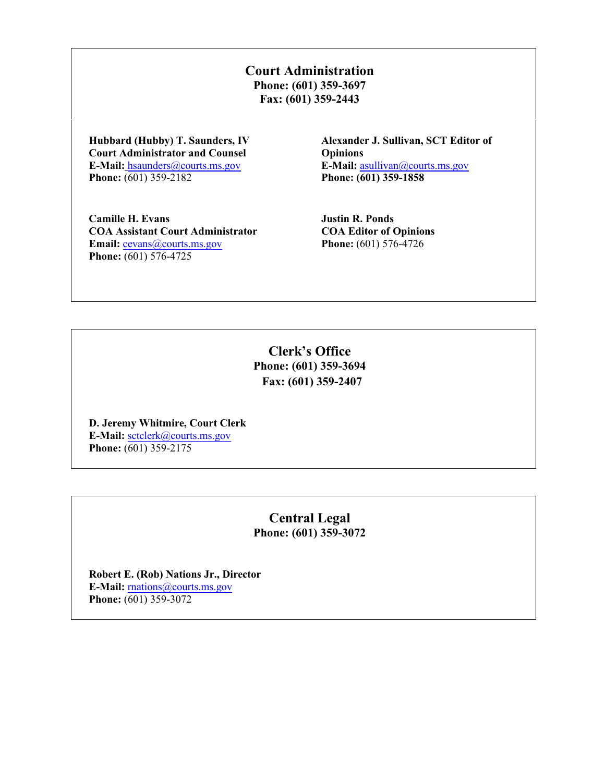**Court Administration Phone: (601) 359-3697 Fax: (601) 359-2443**

**Hubbard (Hubby) T. Saunders, IV Court Administrator and Counsel E-Mail:** hsaunders@courts.ms.gov **Phone:** (601) 359-2182

**Alexander J. Sullivan, SCT Editor of Opinions E-Mail:** asullivan@courts.ms.gov **Phone: (601) 359-1858**

**Camille H. Evans COA Assistant Court Administrator Email:** cevans@courts.ms.gov **Phone:** (601) 576-4725

**Justin R. Ponds COA Editor of Opinions Phone:** (601) 576-4726

**Clerk's Office Phone: (601) 359-3694 Fax: (601) 359-2407**

**D. Jeremy Whitmire, Court Clerk E-Mail:** sctclerk@courts.ms.gov **Phone:** (601) 359-2175

> **Central Legal Phone: (601) 359-3072**

**Robert E. (Rob) Nations Jr., Director E-Mail:** rnations@courts.ms.gov **Phone:** (601) 359-3072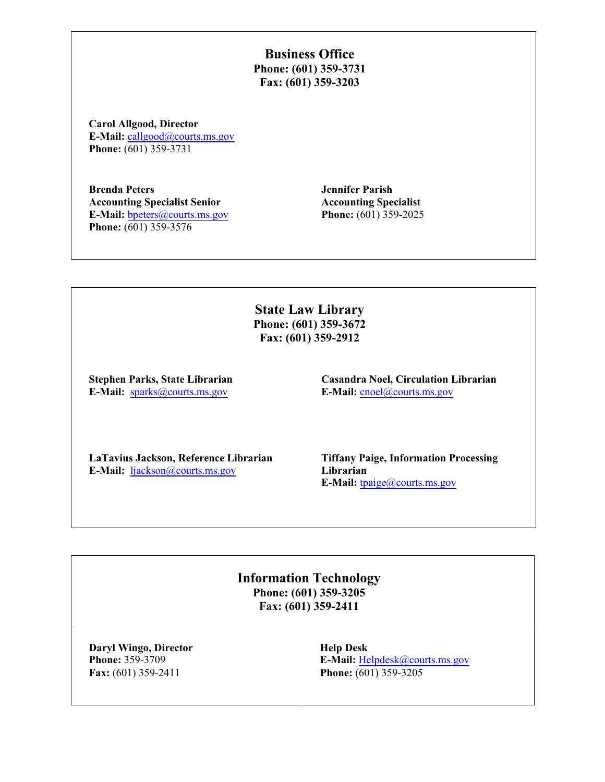**Business Office Phone: (601) 359-3731 Fax: (601) 359-3203**

**Carol Allgood, Director E-Mail:** callgood@courts.ms.gov **Phone:** (601) 359-3731

**Brenda Peters Accounting Specialist Senior E-Mail:** bpeters@courts.ms.gov **Phone:** (601) 359-3576

**Jennifer Parish Accounting Specialist Phone:** (601) 359-2025

**State Law Library Phone: (601) 359-3672 Fax: (601) 359-2912**

**Stephen Parks, State Librarian E-Mail:** sparks@courts.ms.gov

**Casandra Noel, Circulation Librarian E-Mail:** cnoel@courts.ms.gov

**LaTavius Jackson, Reference Librarian E-Mail:** ljackson@courts.ms.gov

**Tiffany Paige, Information Processing Librarian E-Mail:** tpaige@courts.ms.gov

**Information Technology Phone: (601) 359-3205 Fax: (601) 359-2411**

**Daryl Wingo, Director Phone:** 359-3709 **Fax:** (601) 359-2411

**Help Desk E-Mail:** Helpdesk@courts.ms.gov **Phone:** (601) 359-3205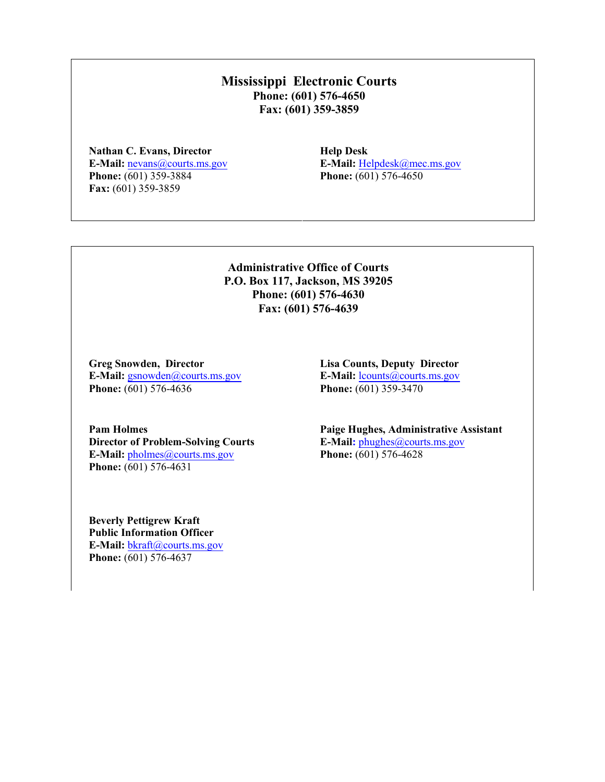#### **Mississippi Electronic Courts Phone: (601) 576-4650 Fax: (601) 359-3859**

**Nathan C. Evans, Director E-Mail:** nevans@courts.ms.gov **Phone:** (601) 359-3884 **Fax:** (601) 359-3859

**Help Desk E-Mail:** Helpdesk@mec.ms.gov **Phone:** (601) 576-4650

#### **Administrative Office of Courts P.O. Box 117, Jackson, MS 39205 Phone: (601) 576-4630 Fax: (601) 576-4639**

**Greg Snowden, Director E-Mail:** gsnowden@courts.ms.gov **Phone:** (601) 576-4636

**Lisa Counts, Deputy Director E-Mail:** lcounts@courts.ms.gov **Phone:** (601) 359-3470

**Pam Holmes Director of Problem-Solving Courts E-Mail:** pholmes@courts.ms.gov **Phone:** (601) 576-4631

**Paige Hughes, Administrative Assistant E-Mail:** phughes@courts.ms.gov **Phone:** (601) 576-4628

**Beverly Pettigrew Kraft Public Information Officer E-Mail:** bkraft@courts.ms.gov **Phone:** (601) 576-4637